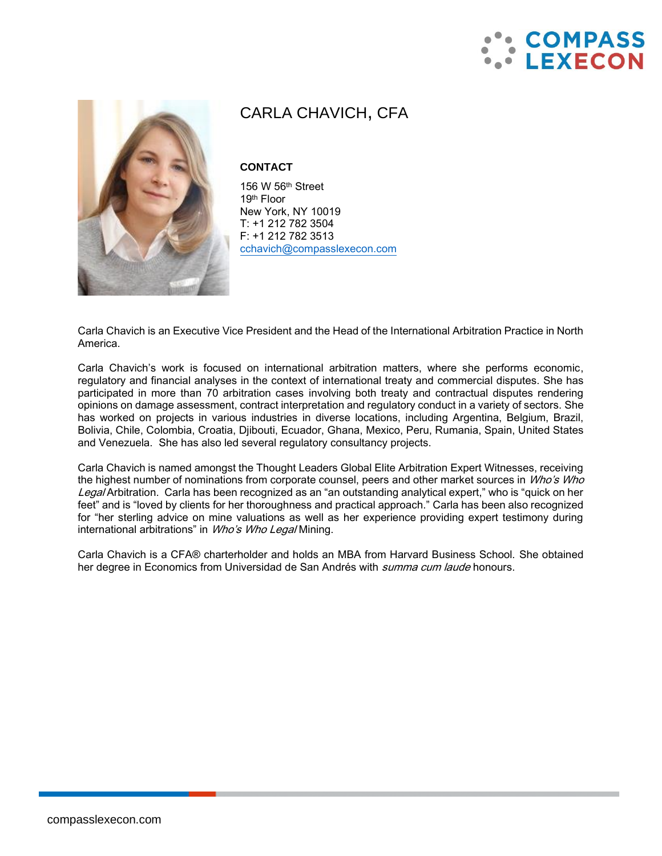



# CARLA CHAVICH, CFA

## **CONTACT**

156 W 56th Street 19th Floor New York, NY 10019 T: +1 212 782 3504 F: +1 212 782 3513 [cchavich@compasslexecon.com](mailto:cchavich@compasslexecon.com)

Carla Chavich is an Executive Vice President and the Head of the International Arbitration Practice in North America.

Carla Chavich's work is focused on international arbitration matters, where she performs economic, regulatory and financial analyses in the context of international treaty and commercial disputes. She has participated in more than 70 arbitration cases involving both treaty and contractual disputes rendering opinions on damage assessment, contract interpretation and regulatory conduct in a variety of sectors. She has worked on projects in various industries in diverse locations, including Argentina, Belgium, Brazil, Bolivia, Chile, Colombia, Croatia, Djibouti, Ecuador, Ghana, Mexico, Peru, Rumania, Spain, United States and Venezuela. She has also led several regulatory consultancy projects.

Carla Chavich is named amongst the Thought Leaders Global Elite Arbitration Expert Witnesses, receiving the highest number of nominations from corporate counsel, peers and other market sources in Who's Who Legal Arbitration. Carla has been recognized as an "an outstanding analytical expert," who is "quick on her feet" and is "loved by clients for her thoroughness and practical approach." Carla has been also recognized for "her sterling advice on mine valuations as well as her experience providing expert testimony during international arbitrations" in Who's Who Legal Mining.

Carla Chavich is a CFA® charterholder and holds an MBA from Harvard Business School. She obtained her degree in Economics from Universidad de San Andrés with *summa cum laude* honours.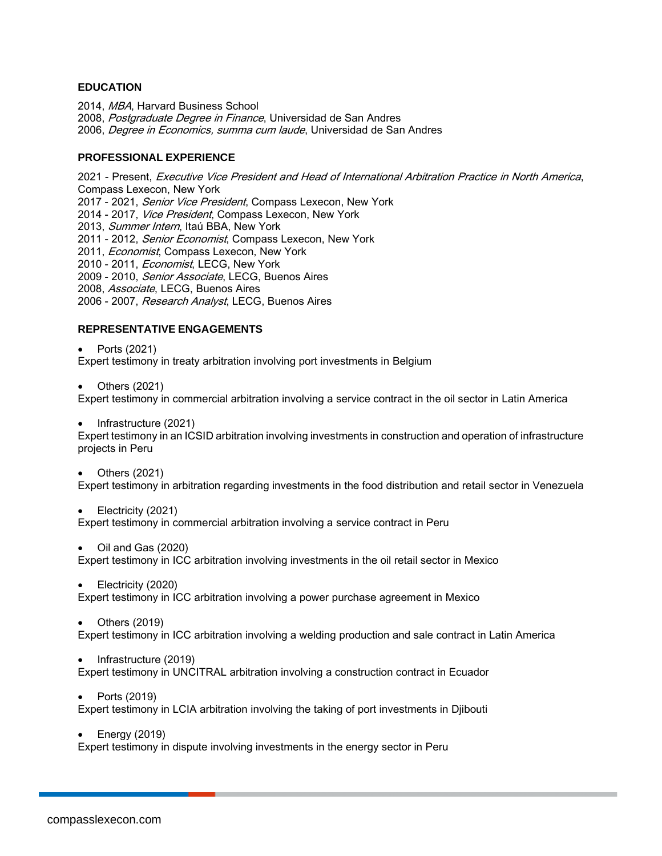#### **EDUCATION**

2014, MBA, Harvard Business School 2008, Postgraduate Degree in Finance, Universidad de San Andres 2006, Degree in Economics, summa cum laude, Universidad de San Andres

#### **PROFESSIONAL EXPERIENCE**

2021 - Present, Executive Vice President and Head of International Arbitration Practice in North America, Compass Lexecon, New York 2017 - 2021, Senior Vice President, Compass Lexecon, New York 2014 - 2017, Vice President, Compass Lexecon, New York 2013, Summer Intern, Itaú BBA, New York 2011 - 2012, Senior Economist, Compass Lexecon, New York 2011, *Economist*, Compass Lexecon, New York 2010 - 2011, Economist, LECG, New York 2009 - 2010, Senior Associate, LECG, Buenos Aires 2008, Associate, LECG, Buenos Aires 2006 - 2007, Research Analyst, LECG, Buenos Aires

## **REPRESENTATIVE ENGAGEMENTS**

• Ports (2021)

Expert testimony in treaty arbitration involving port investments in Belgium

• Others (2021)

Expert testimony in commercial arbitration involving a service contract in the oil sector in Latin America

• Infrastructure (2021)

Expert testimony in an ICSID arbitration involving investments in construction and operation of infrastructure projects in Peru

• Others (2021)

Expert testimony in arbitration regarding investments in the food distribution and retail sector in Venezuela

• Electricity (2021)

Expert testimony in commercial arbitration involving a service contract in Peru

• Oil and Gas (2020)

Expert testimony in ICC arbitration involving investments in the oil retail sector in Mexico

• Electricity (2020)

Expert testimony in ICC arbitration involving a power purchase agreement in Mexico

• Others (2019)

Expert testimony in ICC arbitration involving a welding production and sale contract in Latin America

• Infrastructure (2019)

Expert testimony in UNCITRAL arbitration involving a construction contract in Ecuador

• Ports (2019)

Expert testimony in LCIA arbitration involving the taking of port investments in Djibouti

• Energy (2019)

Expert testimony in dispute involving investments in the energy sector in Peru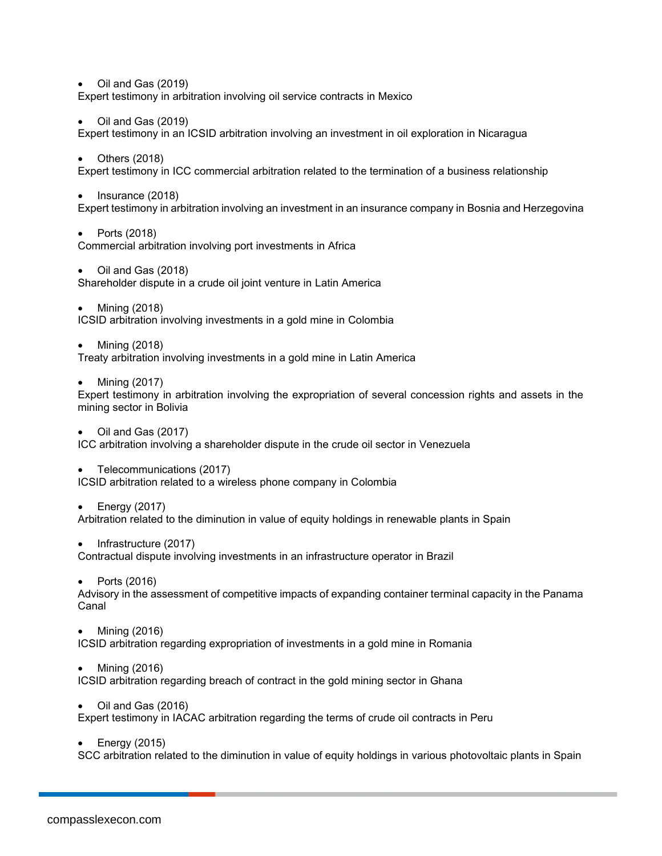• Oil and Gas (2019) Expert testimony in arbitration involving oil service contracts in Mexico

• Oil and Gas (2019)

Expert testimony in an ICSID arbitration involving an investment in oil exploration in Nicaragua

• Others (2018)

Expert testimony in ICC commercial arbitration related to the termination of a business relationship

• Insurance (2018)

Expert testimony in arbitration involving an investment in an insurance company in Bosnia and Herzegovina

- Ports (2018) Commercial arbitration involving port investments in Africa
- Oil and Gas (2018) Shareholder dispute in a crude oil joint venture in Latin America
- Mining (2018) ICSID arbitration involving investments in a gold mine in Colombia
- Mining (2018)

Treaty arbitration involving investments in a gold mine in Latin America

• Mining (2017)

Expert testimony in arbitration involving the expropriation of several concession rights and assets in the mining sector in Bolivia

• Oil and Gas (2017)

ICC arbitration involving a shareholder dispute in the crude oil sector in Venezuela

• Telecommunications (2017) ICSID arbitration related to a wireless phone company in Colombia

• Energy (2017)

Arbitration related to the diminution in value of equity holdings in renewable plants in Spain

• Infrastructure (2017)

Contractual dispute involving investments in an infrastructure operator in Brazil

• Ports (2016)

Advisory in the assessment of competitive impacts of expanding container terminal capacity in the Panama Canal

• Mining (2016)

ICSID arbitration regarding expropriation of investments in a gold mine in Romania

• Mining (2016)

ICSID arbitration regarding breach of contract in the gold mining sector in Ghana

• Oil and Gas (2016)

Expert testimony in IACAC arbitration regarding the terms of crude oil contracts in Peru

• Energy (2015)

SCC arbitration related to the diminution in value of equity holdings in various photovoltaic plants in Spain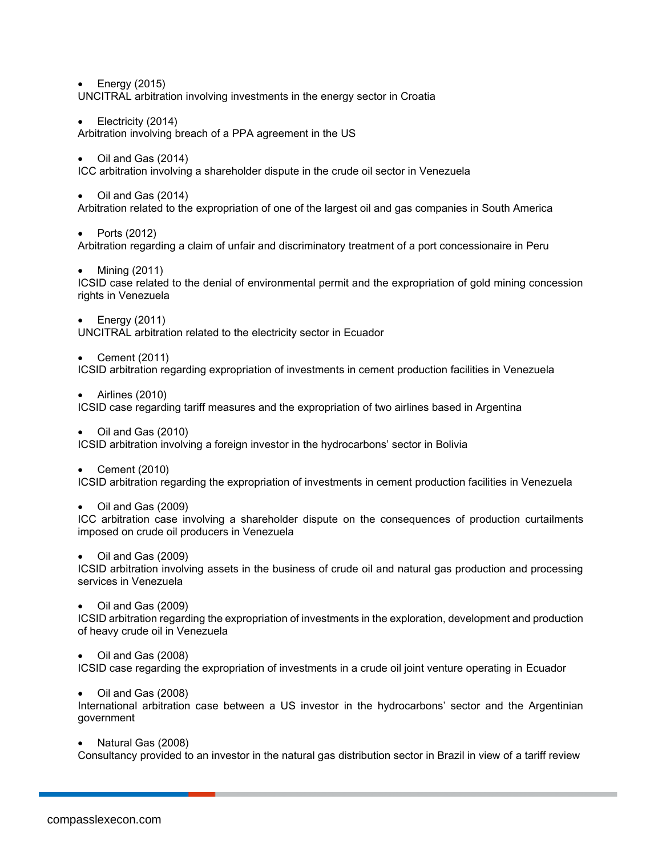• Energy (2015)

UNCITRAL arbitration involving investments in the energy sector in Croatia

• Electricity (2014)

Arbitration involving breach of a PPA agreement in the US

• Oil and Gas (2014)

ICC arbitration involving a shareholder dispute in the crude oil sector in Venezuela

• Oil and Gas (2014)

Arbitration related to the expropriation of one of the largest oil and gas companies in South America

• Ports (2012)

Arbitration regarding a claim of unfair and discriminatory treatment of a port concessionaire in Peru

• Mining (2011)

ICSID case related to the denial of environmental permit and the expropriation of gold mining concession rights in Venezuela

• Energy (2011)

UNCITRAL arbitration related to the electricity sector in Ecuador

• Cement (2011)

ICSID arbitration regarding expropriation of investments in cement production facilities in Venezuela

• Airlines (2010)

ICSID case regarding tariff measures and the expropriation of two airlines based in Argentina

• Oil and Gas (2010)

ICSID arbitration involving a foreign investor in the hydrocarbons' sector in Bolivia

• Cement (2010)

ICSID arbitration regarding the expropriation of investments in cement production facilities in Venezuela

• Oil and Gas (2009)

ICC arbitration case involving a shareholder dispute on the consequences of production curtailments imposed on crude oil producers in Venezuela

• Oil and Gas (2009)

ICSID arbitration involving assets in the business of crude oil and natural gas production and processing services in Venezuela

• Oil and Gas (2009)

ICSID arbitration regarding the expropriation of investments in the exploration, development and production of heavy crude oil in Venezuela

• Oil and Gas (2008)

ICSID case regarding the expropriation of investments in a crude oil joint venture operating in Ecuador

• Oil and Gas (2008)

International arbitration case between a US investor in the hydrocarbons' sector and the Argentinian government

• Natural Gas (2008)

Consultancy provided to an investor in the natural gas distribution sector in Brazil in view of a tariff review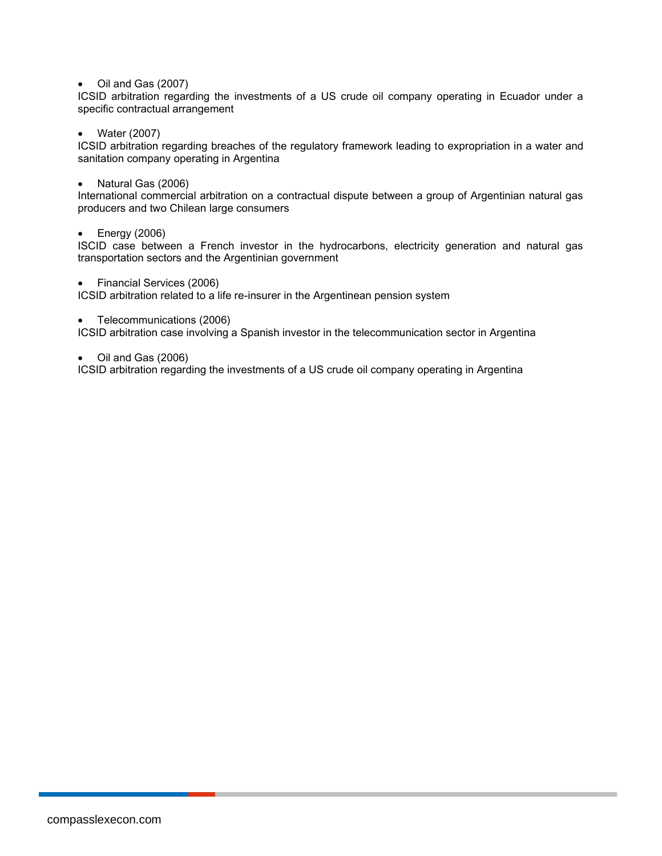## • Oil and Gas (2007)

ICSID arbitration regarding the investments of a US crude oil company operating in Ecuador under a specific contractual arrangement

• Water (2007)

ICSID arbitration regarding breaches of the regulatory framework leading to expropriation in a water and sanitation company operating in Argentina

• Natural Gas (2006)

International commercial arbitration on a contractual dispute between a group of Argentinian natural gas producers and two Chilean large consumers

## • Energy (2006)

ISCID case between a French investor in the hydrocarbons, electricity generation and natural gas transportation sectors and the Argentinian government

• Financial Services (2006)

ICSID arbitration related to a life re-insurer in the Argentinean pension system

• Telecommunications (2006)

ICSID arbitration case involving a Spanish investor in the telecommunication sector in Argentina

• Oil and Gas (2006)

ICSID arbitration regarding the investments of a US crude oil company operating in Argentina